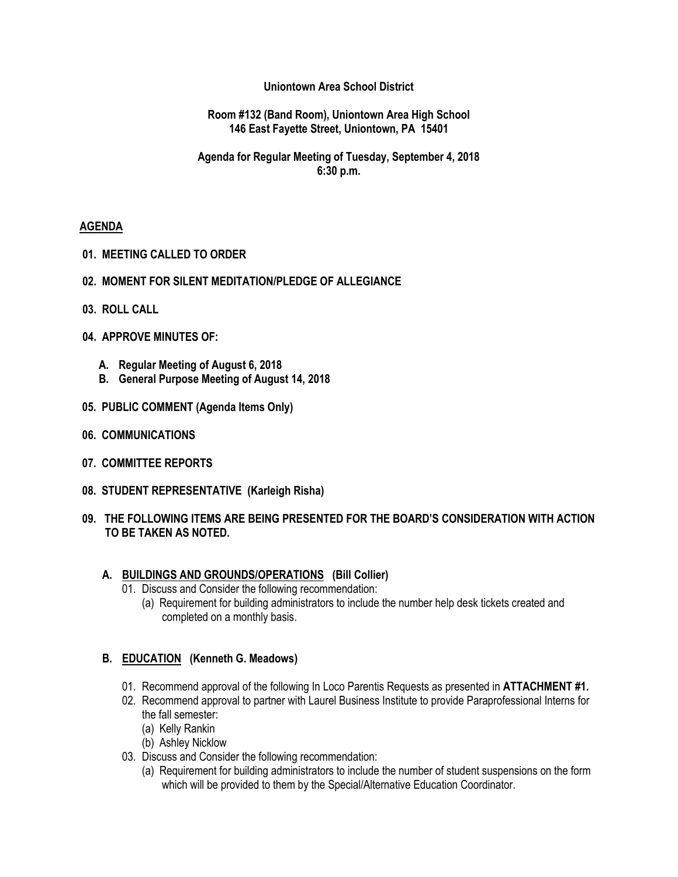#### **Uniontown Area School District**

#### **Room #132 (Band Room), Uniontown Area High School 146 East Fayette Street, Uniontown, PA 15401**

# **Agenda for Regular Meeting of Tuesday, September 4, 2018 6:30 p.m.**

## **AGENDA**

- **01. MEETING CALLED TO ORDER**
- **02. MOMENT FOR SILENT MEDITATION/PLEDGE OF ALLEGIANCE**
- **03. ROLL CALL**
- **04. APPROVE MINUTES OF:**
	- **A. Regular Meeting of August 6, 2018**
	- **B. General Purpose Meeting of August 14, 2018**
- **05. PUBLIC COMMENT (Agenda Items Only)**
- **06. COMMUNICATIONS**
- **07. COMMITTEE REPORTS**
- **08. STUDENT REPRESENTATIVE (Karleigh Risha)**
- **09. THE FOLLOWING ITEMS ARE BEING PRESENTED FOR THE BOARD'S CONSIDERATION WITH ACTION TO BE TAKEN AS NOTED.**

#### **A. BUILDINGS AND GROUNDS/OPERATIONS (Bill Collier)**

- 01. Discuss and Consider the following recommendation:
	- (a) Requirement for building administrators to include the number help desk tickets created and completed on a monthly basis.

## **B. EDUCATION (Kenneth G. Meadows)**

- 01. Recommend approval of the following In Loco Parentis Requests as presented in **ATTACHMENT #1.**
- 02. Recommend approval to partner with Laurel Business Institute to provide Paraprofessional Interns for the fall semester:
	- (a) Kelly Rankin
	- (b) Ashley Nicklow
- 03. Discuss and Consider the following recommendation:
	- (a) Requirement for building administrators to include the number of student suspensions on the form which will be provided to them by the Special/Alternative Education Coordinator.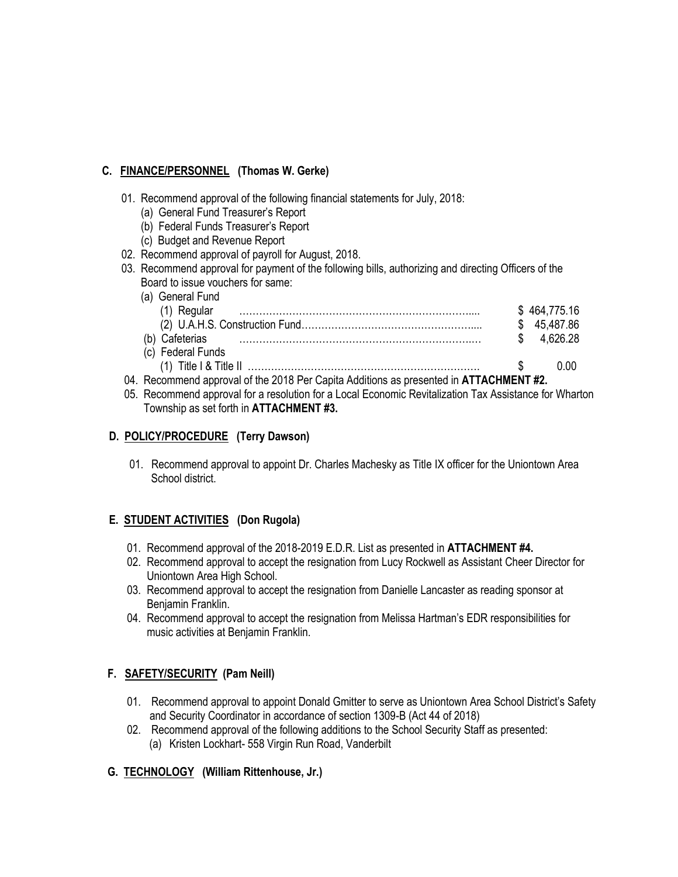# **C. FINANCE/PERSONNEL (Thomas W. Gerke)**

- 01. Recommend approval of the following financial statements for July, 2018:
	- (a) General Fund Treasurer's Report
	- (b) Federal Funds Treasurer's Report
	- (c) Budget and Revenue Report
- 02. Recommend approval of payroll for August, 2018.
- 03. Recommend approval for payment of the following bills, authorizing and directing Officers of the Board to issue vouchers for same:
- (a) General Fund (1) Regular …………………………………………………………….... \$ 464,775.16 (2) U.A.H.S. Construction Fund…………………………………………….... \$ 45,487.86 (b) Cafeterias …………………………………………………………….… \$ 4,626.28 (c) Federal Funds (1) Title I & Title II  $\ldots$  0.00 04. Recommend approval of the 2018 Per Capita Additions as presented in **ATTACHMENT #2.**
- 05. Recommend approval for a resolution for a Local Economic Revitalization Tax Assistance for Wharton Township as set forth in **ATTACHMENT #3.**

# **D. POLICY/PROCEDURE (Terry Dawson)**

01. Recommend approval to appoint Dr. Charles Machesky as Title IX officer for the Uniontown Area School district.

# **E. STUDENT ACTIVITIES (Don Rugola)**

- 01. Recommend approval of the 2018-2019 E.D.R. List as presented in **ATTACHMENT #4.**
- 02. Recommend approval to accept the resignation from Lucy Rockwell as Assistant Cheer Director for Uniontown Area High School.
- 03. Recommend approval to accept the resignation from Danielle Lancaster as reading sponsor at Benjamin Franklin.
- 04. Recommend approval to accept the resignation from Melissa Hartman's EDR responsibilities for music activities at Benjamin Franklin.

## **F. SAFETY/SECURITY (Pam Neill)**

- 01. Recommend approval to appoint Donald Gmitter to serve as Uniontown Area School District's Safety and Security Coordinator in accordance of section 1309-B (Act 44 of 2018)
- 02. Recommend approval of the following additions to the School Security Staff as presented: (a) Kristen Lockhart- 558 Virgin Run Road, Vanderbilt

## **G. TECHNOLOGY (William Rittenhouse, Jr.)**